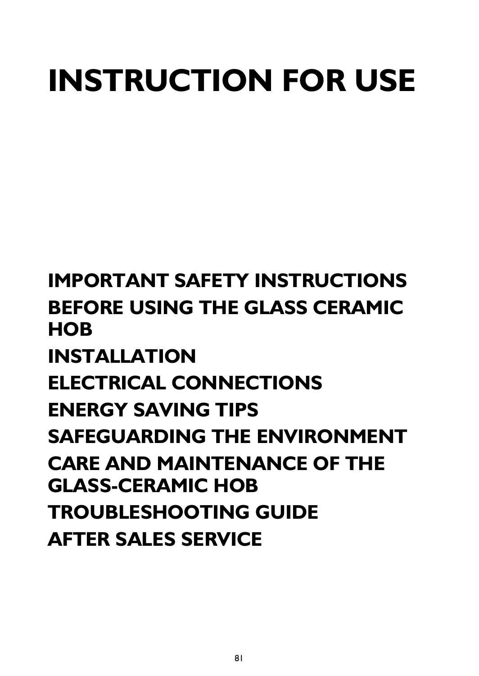# **INSTRUCTION FOR USE**

**[IMPORTANT SAFETY INSTRUCTIONS](#page-1-0) [BEFORE USING THE GLASS CERAMIC](#page-3-0)  [HOB](#page-3-0) [INSTALLATION](#page-3-1) [ELECTRICAL CONNECTIONS](#page-4-0) [ENERGY SAVING TIPS](#page-5-1) [SAFEGUARDING THE ENVIRONMENT](#page-5-0) [CARE AND MAINTENANCE OF THE](#page-6-1)  [GLASS-CERAMIC HOB](#page-6-1) [TROUBLESHOOTING GUIDE](#page-6-2) [AFTER SALES SERVICE](#page-6-0)**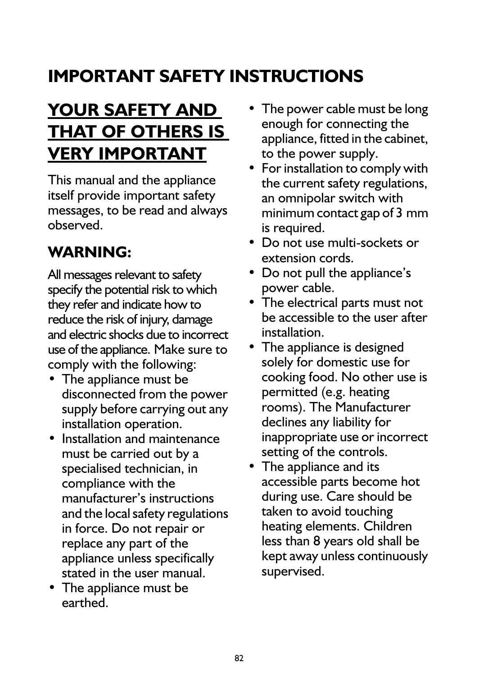# <span id="page-1-0"></span>**IMPORTANT SAFETY INSTRUCTIONS**

# **YOUR SAFETY AND THAT OF OTHERS IS VERY IMPORTANT**

This manual and the appliance itself provide important safety messages, to be read and always observed.

### **WARNING:**

All messages relevant to safety specify the potential risk to which they refer and indicate how to reduce the risk of injury, damage and electric shocks due to incorrect use of the appliance. Make sure to comply with the following:

- **•** The appliance must be disconnected from the power supply before carrying out any installation operation.
- **•** Installation and maintenance must be carried out by a specialised technician, in compliance with the manufacturer's instructions and the local safety regulations in force. Do not repair or replace any part of the appliance unless specifically stated in the user manual.
- **•** The appliance must be earthed.
- **•** The power cable must be long enough for connecting the appliance, fitted in the cabinet, to the power supply.
- **•** For installation to comply with the current safety regulations, an omnipolar switch with minimum contact gap of 3 mm is required.
- **•** Do not use multi-sockets or extension cords.
- **•** Do not pull the appliance's power cable.
- **•** The electrical parts must not be accessible to the user after installation.
- **•** The appliance is designed solely for domestic use for cooking food. No other use is permitted (e.g. heating rooms). The Manufacturer declines any liability for inappropriate use or incorrect setting of the controls.
- **•** The appliance and its accessible parts become hot during use. Care should be taken to avoid touching heating elements. Children less than 8 years old shall be kept away unless continuously supervised.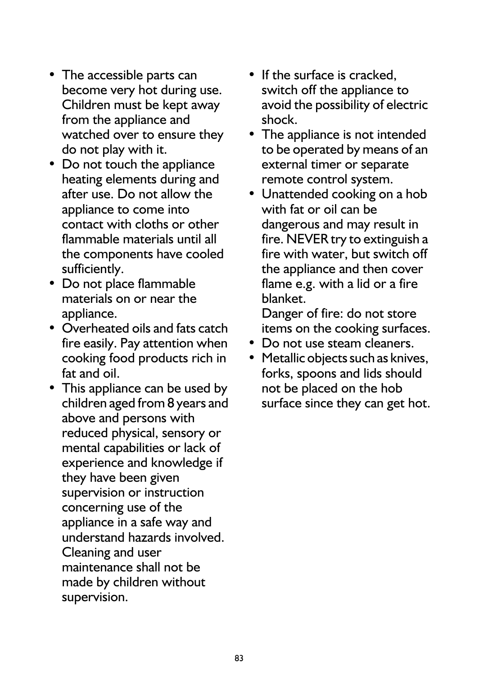- **•** The accessible parts can become very hot during use. Children must be kept away from the appliance and watched over to ensure they do not play with it.
- **•** Do not touch the appliance heating elements during and after use. Do not allow the appliance to come into contact with cloths or other flammable materials until all the components have cooled sufficiently.
- **•** Do not place flammable materials on or near the appliance.
- **•** Overheated oils and fats catch fire easily. Pay attention when cooking food products rich in fat and oil.
- **•** This appliance can be used by children aged from 8 years and above and persons with reduced physical, sensory or mental capabilities or lack of experience and knowledge if they have been given supervision or instruction concerning use of the appliance in a safe way and understand hazards involved. Cleaning and user maintenance shall not be made by children without supervision.
- **•** If the surface is cracked, switch off the appliance to avoid the possibility of electric shock.
- **•** The appliance is not intended to be operated by means of an external timer or separate remote control system.
- **•** Unattended cooking on a hob with fat or oil can be dangerous and may result in fire. NEVER try to extinguish a fire with water, but switch off the appliance and then cover flame e.g. with a lid or a fire blanket.

Danger of fire: do not store items on the cooking surfaces.

- **•** Do not use steam cleaners.
- **•** Metallic objects such as knives, forks, spoons and lids should not be placed on the hob surface since they can get hot.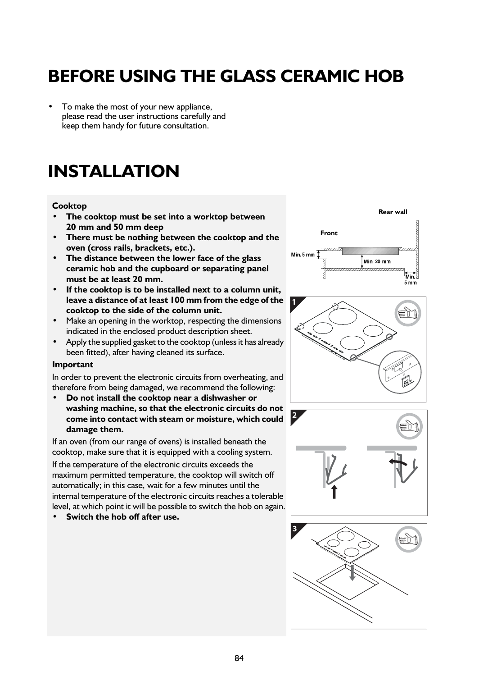### <span id="page-3-0"></span>**BEFORE USING THE GLASS CERAMIC HOB**

**•** To make the most of your new appliance, please read the user instructions carefully and keep them handy for future consultation.

### <span id="page-3-1"></span>**INSTALLATION**

#### **Cooktop**

- **The cooktop must be set into a worktop between 20 mm and 50 mm deep**
- **There must be nothing between the cooktop and the oven (cross rails, brackets, etc.).**
- **The distance between the lower face of the glass ceramic hob and the cupboard or separating panel must be at least 20 mm.**
- **If the cooktop is to be installed next to a column unit, leave a distance of at least 100 mm from the edge of the cooktop to the side of the column unit.**
- **•** Make an opening in the worktop, respecting the dimensions indicated in the enclosed product description sheet.
- **•** Apply the supplied gasket to the cooktop (unless it has already been fitted), after having cleaned its surface.

#### **Important**

In order to prevent the electronic circuits from overheating, and therefore from being damaged, we recommend the following:

**• Do not install the cooktop near a dishwasher or washing machine, so that the electronic circuits do not come into contact with steam or moisture, which could damage them.**

If an oven (from our range of ovens) is installed beneath the cooktop, make sure that it is equipped with a cooling system. If the temperature of the electronic circuits exceeds the maximum permitted temperature, the cooktop will switch off automatically; in this case, wait for a few minutes until the internal temperature of the electronic circuits reaches a tolerable level, at which point it will be possible to switch the hob on again.

**• Switch the hob off after use.**







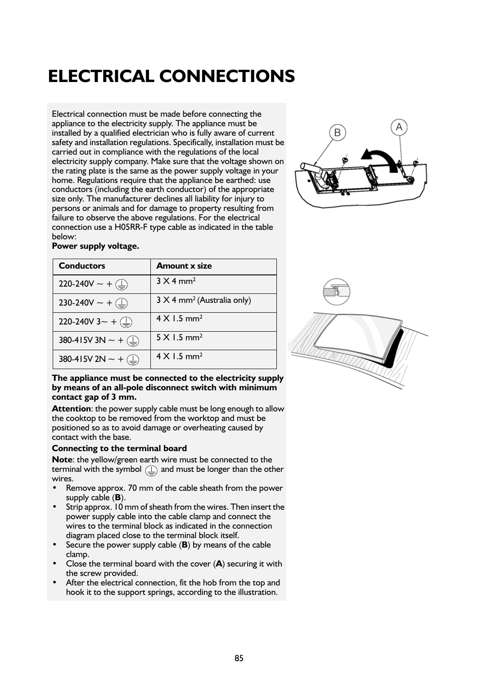### <span id="page-4-0"></span>**ELECTRICAL CONNECTIONS**

Electrical connection must be made before connecting the appliance to the electricity supply. The appliance must be installed by a qualified electrician who is fully aware of current safety and installation regulations. Specifically, installation must be carried out in compliance with the regulations of the local electricity supply company. Make sure that the voltage shown on the rating plate is the same as the power supply voltage in your home. Regulations require that the appliance be earthed: use conductors (including the earth conductor) of the appropriate size only. The manufacturer declines all liability for injury to persons or animals and for damage to property resulting from failure to observe the above regulations. For the electrical connection use a H05RR-F type cable as indicated in the table below:



|  |  |  | Power supply voltage. |
|--|--|--|-----------------------|
|--|--|--|-----------------------|

| <b>Conductors</b>                                     | <b>Amount x size</b>                          |
|-------------------------------------------------------|-----------------------------------------------|
| 220-240V $\sim +$ (                                   | $3 \times 4$ mm <sup>2</sup>                  |
| 230-240V $\sim +$ $\textcircled{\scriptsize{\pm}}$    | $3 \times 4$ mm <sup>2</sup> (Australia only) |
| 220-240V 3~ + $\binom{1}{2}$                          | $4 \times 1.5$ mm <sup>2</sup>                |
| 380-415V 3N $\sim$ + $\textcircled{\scriptsize{\pm}}$ | $5 \times 1.5$ mm <sup>2</sup>                |
| 380-415V 2N $\sim +$ (                                | $4 \times 1.5$ mm <sup>2</sup>                |



**Attention**: the power supply cable must be long enough to allow the cooktop to be removed from the worktop and must be positioned so as to avoid damage or overheating caused by contact with the base.

#### **Connecting to the terminal board**

**Note**: the yellow/green earth wire must be connected to the terminal with the symbol and must be longer than the other wires.

- **•** Remove approx. 70 mm of the cable sheath from the power supply cable (**B**).
- **•** Strip approx. 10 mm of sheath from the wires. Then insert the power supply cable into the cable clamp and connect the wires to the terminal block as indicated in the connection diagram placed close to the terminal block itself.
- **•** Secure the power supply cable (**B**) by means of the cable clamp.
- **•** Close the terminal board with the cover (**A**) securing it with the screw provided.
- **•** After the electrical connection, fit the hob from the top and hook it to the support springs, according to the illustration.

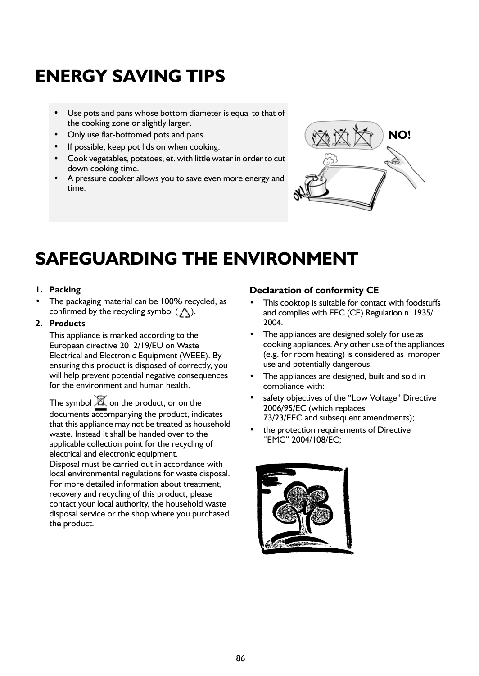### <span id="page-5-1"></span>**ENERGY SAVING TIPS**

- **•** Use pots and pans whose bottom diameter is equal to that of the cooking zone or slightly larger.
- **•** Only use flat-bottomed pots and pans.
- **•** If possible, keep pot lids on when cooking.
- **•** Cook vegetables, potatoes, et. with little water in order to cut down cooking time.
- **•** A pressure cooker allows you to save even more energy and time.



### <span id="page-5-0"></span>**SAFEGUARDING THE ENVIRONMENT**

#### **1. Packing**

**•** The packaging material can be 100% recycled, as confirmed by the recycling symbol  $($ , $\wedge$ ).

#### **2. Products**

This appliance is marked according to the European directive 2012/19/EU on Waste Electrical and Electronic Equipment (WEEE). By ensuring this product is disposed of correctly, you will help prevent potential negative consequences for the environment and human health.

The symbol  $\mathbb X$  on the product, or on the documents accompanying the product, indicates that this appliance may not be treated as household waste. Instead it shall be handed over to the applicable collection point for the recycling of electrical and electronic equipment.

Disposal must be carried out in accordance with local environmental regulations for waste disposal. For more detailed information about treatment, recovery and recycling of this product, please contact your local authority, the household waste disposal service or the shop where you purchased the product.

#### **Declaration of conformity CE**

- **•** This cooktop is suitable for contact with foodstuffs and complies with EEC (CE) Regulation n. 1935/ 2004.
- **•** The appliances are designed solely for use as cooking appliances. Any other use of the appliances (e.g. for room heating) is considered as improper use and potentially dangerous.
- **•** The appliances are designed, built and sold in compliance with:
- **•** safety objectives of the "Low Voltage" Directive 2006/95/EC (which replaces 73/23/EEC and subsequent amendments);
- **•** the protection requirements of Directive "EMC" 2004/108/EC;